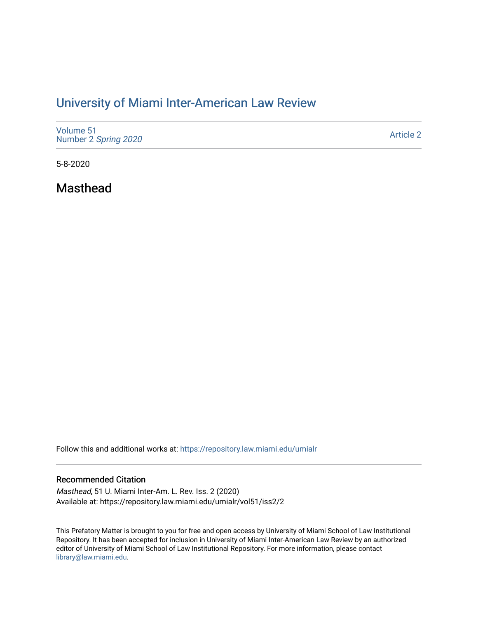# [University of Miami Inter-American Law Review](https://repository.law.miami.edu/umialr)

| Volume 51<br>Number 2 Spring 2020 | <b>Article 2</b> |
|-----------------------------------|------------------|
|-----------------------------------|------------------|

5-8-2020

Masthead

Follow this and additional works at: [https://repository.law.miami.edu/umialr](https://repository.law.miami.edu/umialr?utm_source=repository.law.miami.edu%2Fumialr%2Fvol51%2Fiss2%2F2&utm_medium=PDF&utm_campaign=PDFCoverPages)

### Recommended Citation

Masthead, 51 U. Miami Inter-Am. L. Rev. Iss. 2 (2020) Available at: https://repository.law.miami.edu/umialr/vol51/iss2/2

This Prefatory Matter is brought to you for free and open access by University of Miami School of Law Institutional Repository. It has been accepted for inclusion in University of Miami Inter-American Law Review by an authorized editor of University of Miami School of Law Institutional Repository. For more information, please contact [library@law.miami.edu.](mailto:library@law.miami.edu)